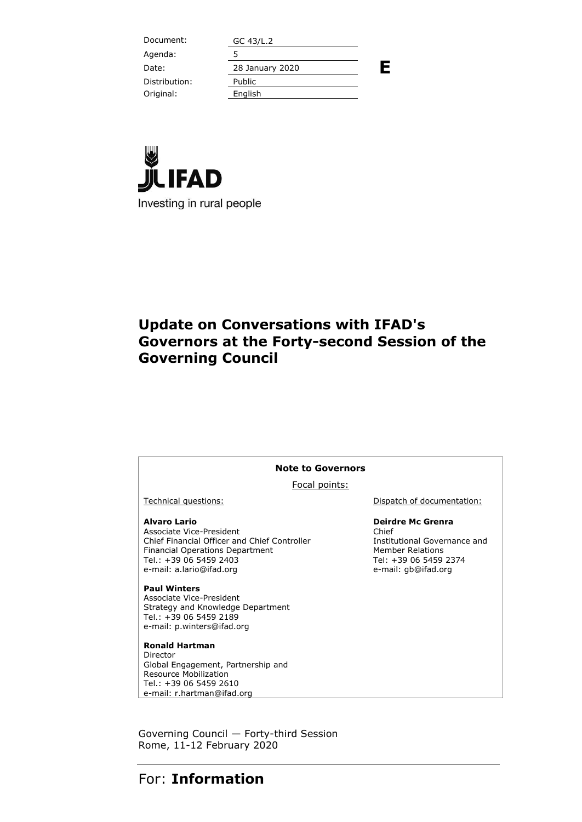Document: GC 43/L.2 **E** Agenda: 5 Date: 28 January 2020 Distribution: Public Original: English



## **Update on Conversations with IFAD's Governors at the Forty-second Session of the Governing Council**

#### **Note to Governors**

Focal points:

#### **Alvaro Lario**

Associate Vice-President Chief Financial Officer and Chief Controller Financial Operations Department Tel.: +39 06 5459 2403 e-mail: a.lario@ifad.org

**Paul Winters** Associate Vice-President Strategy and Knowledge Department

Tel.: +39 06 5459 2189 e-mail: p.winters@ifad.org

**Ronald Hartman** Director Global Engagement, Partnership and Resource Mobilization Tel.: +39 06 5459 2610 e-mail: r.hartman@ifad.org

Technical questions:  $\qquad \qquad$  Dispatch of documentation:

#### **Deirdre Mc Grenra**

Chief Institutional Governance and Member Relations Tel: +39 06 5459 2374 e-mail: gb@ifad.org

Governing Council — Forty-third Session Rome, 11-12 February 2020

### For: **Information**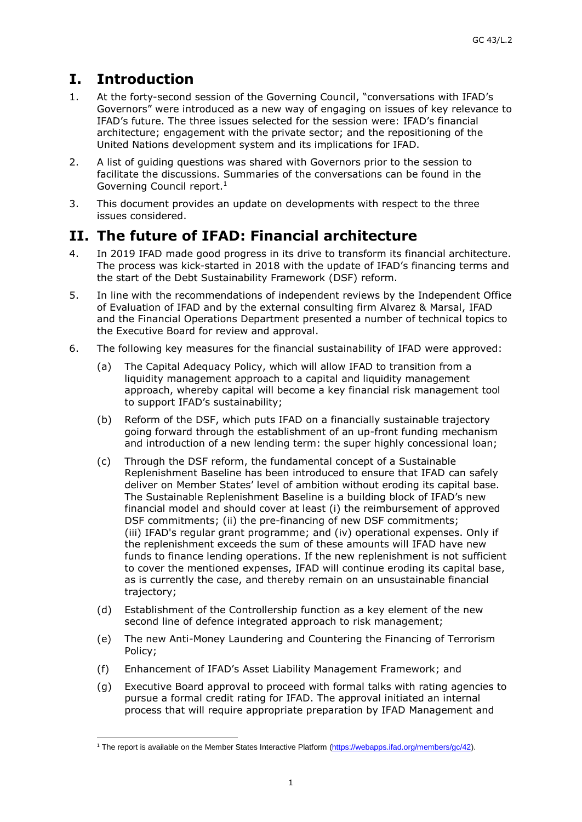# **I. Introduction**

- 1. At the forty-second session of the Governing Council, "conversations with IFAD's Governors" were introduced as a new way of engaging on issues of key relevance to IFAD's future. The three issues selected for the session were: IFAD's financial architecture; engagement with the private sector; and the repositioning of the United Nations development system and its implications for IFAD.
- 2. A list of guiding questions was shared with Governors prior to the session to facilitate the discussions. Summaries of the conversations can be found in the Governing Council report. 1
- 3. This document provides an update on developments with respect to the three issues considered.

## **II. The future of IFAD: Financial architecture**

- 4. In 2019 IFAD made good progress in its drive to transform its financial architecture. The process was kick-started in 2018 with the update of IFAD's financing terms and the start of the Debt Sustainability Framework (DSF) reform.
- 5. In line with the recommendations of independent reviews by the Independent Office of Evaluation of IFAD and by the external consulting firm Alvarez & Marsal, IFAD and the Financial Operations Department presented a number of technical topics to the Executive Board for review and approval.
- 6. The following key measures for the financial sustainability of IFAD were approved:
	- (a) The Capital Adequacy Policy, which will allow IFAD to transition from a liquidity management approach to a capital and liquidity management approach, whereby capital will become a key financial risk management tool to support IFAD's sustainability;
	- (b) Reform of the DSF, which puts IFAD on a financially sustainable trajectory going forward through the establishment of an up-front funding mechanism and introduction of a new lending term: the super highly concessional loan;
	- (c) Through the DSF reform, the fundamental concept of a Sustainable Replenishment Baseline has been introduced to ensure that IFAD can safely deliver on Member States' level of ambition without eroding its capital base. The Sustainable Replenishment Baseline is a building block of IFAD's new financial model and should cover at least (i) the reimbursement of approved DSF commitments; (ii) the pre-financing of new DSF commitments; (iii) IFAD's regular grant programme; and (iv) operational expenses. Only if the replenishment exceeds the sum of these amounts will IFAD have new funds to finance lending operations. If the new replenishment is not sufficient to cover the mentioned expenses, IFAD will continue eroding its capital base, as is currently the case, and thereby remain on an unsustainable financial trajectory;
	- (d) Establishment of the Controllership function as a key element of the new second line of defence integrated approach to risk management;
	- (e) The new Anti-Money Laundering and Countering the Financing of Terrorism Policy;
	- (f) Enhancement of IFAD's Asset Liability Management Framework; and
	- (g) Executive Board approval to proceed with formal talks with rating agencies to pursue a formal credit rating for IFAD. The approval initiated an internal process that will require appropriate preparation by IFAD Management and

<sup>1</sup> The report is available on the Member States Interactive Platform [\(https://webapps.ifad.org/members/gc/42\)](https://webapps.ifad.org/members/gc/42).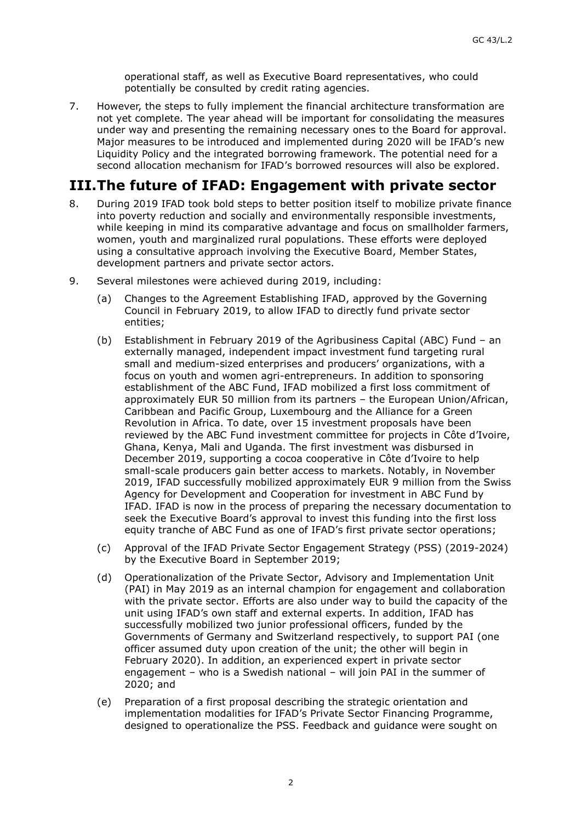operational staff, as well as Executive Board representatives, who could potentially be consulted by credit rating agencies.

7. However, the steps to fully implement the financial architecture transformation are not yet complete. The year ahead will be important for consolidating the measures under way and presenting the remaining necessary ones to the Board for approval. Major measures to be introduced and implemented during 2020 will be IFAD's new Liquidity Policy and the integrated borrowing framework. The potential need for a second allocation mechanism for IFAD's borrowed resources will also be explored.

### **III.The future of IFAD: Engagement with private sector**

- 8. During 2019 IFAD took bold steps to better position itself to mobilize private finance into poverty reduction and socially and environmentally responsible investments, while keeping in mind its comparative advantage and focus on smallholder farmers, women, youth and marginalized rural populations. These efforts were deployed using a consultative approach involving the Executive Board, Member States, development partners and private sector actors.
- 9. Several milestones were achieved during 2019, including:
	- (a) Changes to the Agreement Establishing IFAD, approved by the Governing Council in February 2019, to allow IFAD to directly fund private sector entities;
	- (b) Establishment in February 2019 of the Agribusiness Capital (ABC) Fund an externally managed, independent impact investment fund targeting rural small and medium-sized enterprises and producers' organizations, with a focus on youth and women agri-entrepreneurs. In addition to sponsoring establishment of the ABC Fund, IFAD mobilized a first loss commitment of approximately EUR 50 million from its partners – the European Union/African, Caribbean and Pacific Group, Luxembourg and the Alliance for a Green Revolution in Africa. To date, over 15 investment proposals have been reviewed by the ABC Fund investment committee for projects in Côte d'Ivoire, Ghana, Kenya, Mali and Uganda. The first investment was disbursed in December 2019, supporting a cocoa cooperative in Côte d'Ivoire to help small-scale producers gain better access to markets. Notably, in November 2019, IFAD successfully mobilized approximately EUR 9 million from the Swiss Agency for Development and Cooperation for investment in ABC Fund by IFAD. IFAD is now in the process of preparing the necessary documentation to seek the Executive Board's approval to invest this funding into the first loss equity tranche of ABC Fund as one of IFAD's first private sector operations;
	- (c) Approval of the IFAD Private Sector Engagement Strategy (PSS) (2019-2024) by the Executive Board in September 2019;
	- (d) Operationalization of the Private Sector, Advisory and Implementation Unit (PAI) in May 2019 as an internal champion for engagement and collaboration with the private sector. Efforts are also under way to build the capacity of the unit using IFAD's own staff and external experts. In addition, IFAD has successfully mobilized two junior professional officers, funded by the Governments of Germany and Switzerland respectively, to support PAI (one officer assumed duty upon creation of the unit; the other will begin in February 2020). In addition, an experienced expert in private sector engagement – who is a Swedish national – will join PAI in the summer of 2020; and
	- (e) Preparation of a first proposal describing the strategic orientation and implementation modalities for IFAD's Private Sector Financing Programme, designed to operationalize the PSS. Feedback and guidance were sought on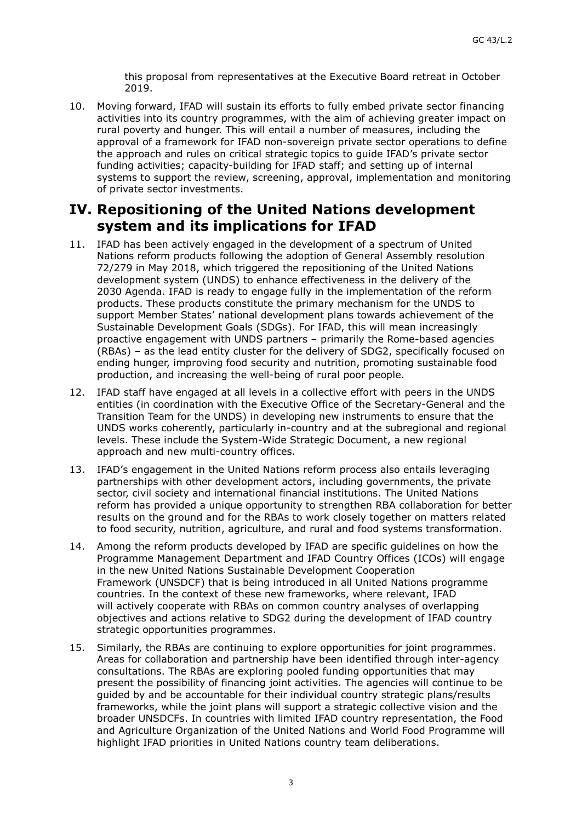this proposal from representatives at the Executive Board retreat in October 2019.

10. Moving forward, IFAD will sustain its efforts to fully embed private sector financing activities into its country programmes, with the aim of achieving greater impact on rural poverty and hunger. This will entail a number of measures, including the approval of a framework for IFAD non-sovereign private sector operations to define the approach and rules on critical strategic topics to guide IFAD's private sector funding activities; capacity-building for IFAD staff; and setting up of internal systems to support the review, screening, approval, implementation and monitoring of private sector investments.

#### **IV. Repositioning of the United Nations development system and its implications for IFAD**

- 11. IFAD has been actively engaged in the development of a spectrum of United Nations reform products following the adoption of General Assembly resolution 72/279 in May 2018, which triggered the repositioning of the United Nations development system (UNDS) to enhance effectiveness in the delivery of the 2030 Agenda. IFAD is ready to engage fully in the implementation of the reform products. These products constitute the primary mechanism for the UNDS to support Member States' national development plans towards achievement of the Sustainable Development Goals (SDGs). For IFAD, this will mean increasingly proactive engagement with UNDS partners – primarily the Rome-based agencies (RBAs) – as the lead entity cluster for the delivery of SDG2, specifically focused on ending hunger, improving food security and nutrition, promoting sustainable food production, and increasing the well-being of rural poor people.
- 12. IFAD staff have engaged at all levels in a collective effort with peers in the UNDS entities (in coordination with the Executive Office of the Secretary-General and the Transition Team for the UNDS) in developing new instruments to ensure that the UNDS works coherently, particularly in-country and at the subregional and regional levels. These include the System-Wide Strategic Document, a new regional approach and new multi-country offices.
- 13. IFAD's engagement in the United Nations reform process also entails leveraging partnerships with other development actors, including governments, the private sector, civil society and international financial institutions. The United Nations reform has provided a unique opportunity to strengthen RBA collaboration for better results on the ground and for the RBAs to work closely together on matters related to food security, nutrition, agriculture, and rural and food systems transformation.
- 14. Among the reform products developed by IFAD are specific guidelines on how the Programme Management Department and IFAD Country Offices (ICOs) will engage in the new United Nations Sustainable Development Cooperation Framework (UNSDCF) that is being introduced in all United Nations programme countries. In the context of these new frameworks, where relevant, IFAD will actively cooperate with RBAs on common country analyses of overlapping objectives and actions relative to SDG2 during the development of IFAD country strategic opportunities programmes.
- 15. Similarly, the RBAs are continuing to explore opportunities for joint programmes. Areas for collaboration and partnership have been identified through inter-agency consultations. The RBAs are exploring pooled funding opportunities that may present the possibility of financing joint activities. The agencies will continue to be guided by and be accountable for their individual country strategic plans/results frameworks, while the joint plans will support a strategic collective vision and the broader UNSDCFs. In countries with limited IFAD country representation, the Food and Agriculture Organization of the United Nations and World Food Programme will highlight IFAD priorities in United Nations country team deliberations.